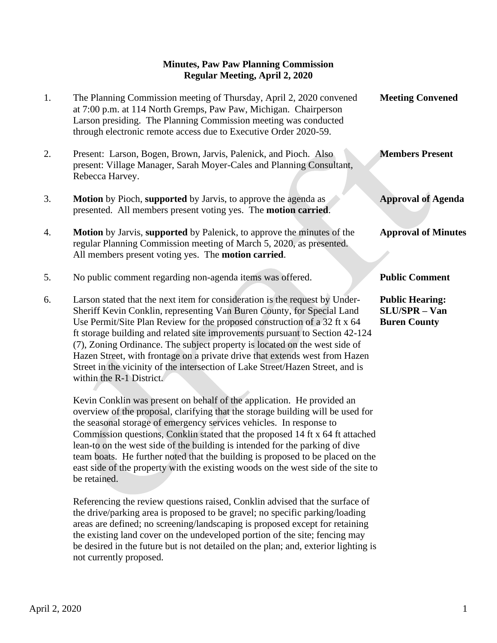## **Minutes, Paw Paw Planning Commission Regular Meeting, April 2, 2020**

| 1. | The Planning Commission meeting of Thursday, April 2, 2020 convened<br>at 7:00 p.m. at 114 North Gremps, Paw Paw, Michigan. Chairperson<br>Larson presiding. The Planning Commission meeting was conducted<br>through electronic remote access due to Executive Order 2020-59.                                                                                                                                                                                                                                                                                                                | <b>Meeting Convened</b>                                               |
|----|-----------------------------------------------------------------------------------------------------------------------------------------------------------------------------------------------------------------------------------------------------------------------------------------------------------------------------------------------------------------------------------------------------------------------------------------------------------------------------------------------------------------------------------------------------------------------------------------------|-----------------------------------------------------------------------|
| 2. | Present: Larson, Bogen, Brown, Jarvis, Palenick, and Pioch. Also<br>present: Village Manager, Sarah Moyer-Cales and Planning Consultant,<br>Rebecca Harvey.                                                                                                                                                                                                                                                                                                                                                                                                                                   | <b>Members Present</b>                                                |
| 3. | <b>Motion</b> by Pioch, supported by Jarvis, to approve the agenda as<br>presented. All members present voting yes. The motion carried.                                                                                                                                                                                                                                                                                                                                                                                                                                                       | <b>Approval of Agenda</b>                                             |
| 4. | Motion by Jarvis, supported by Palenick, to approve the minutes of the<br>regular Planning Commission meeting of March 5, 2020, as presented.<br>All members present voting yes. The motion carried.                                                                                                                                                                                                                                                                                                                                                                                          | <b>Approval of Minutes</b>                                            |
| 5. | No public comment regarding non-agenda items was offered.                                                                                                                                                                                                                                                                                                                                                                                                                                                                                                                                     | <b>Public Comment</b>                                                 |
|    |                                                                                                                                                                                                                                                                                                                                                                                                                                                                                                                                                                                               |                                                                       |
| 6. | Larson stated that the next item for consideration is the request by Under-<br>Sheriff Kevin Conklin, representing Van Buren County, for Special Land<br>Use Permit/Site Plan Review for the proposed construction of a 32 ft x 64<br>ft storage building and related site improvements pursuant to Section 42-124<br>(7), Zoning Ordinance. The subject property is located on the west side of<br>Hazen Street, with frontage on a private drive that extends west from Hazen<br>Street in the vicinity of the intersection of Lake Street/Hazen Street, and is<br>within the R-1 District. | <b>Public Hearing:</b><br><b>SLU/SPR - Van</b><br><b>Buren County</b> |

 team boats. He further noted that the building is proposed to be placed on the east side of the property with the existing woods on the west side of the site to

 Referencing the review questions raised, Conklin advised that the surface of the drive/parking area is proposed to be gravel; no specific parking/loading areas are defined; no screening/landscaping is proposed except for retaining the existing land cover on the undeveloped portion of the site; fencing may be desired in the future but is not detailed on the plan; and, exterior lighting is

April 2, 2020 1

not currently proposed.

be retained.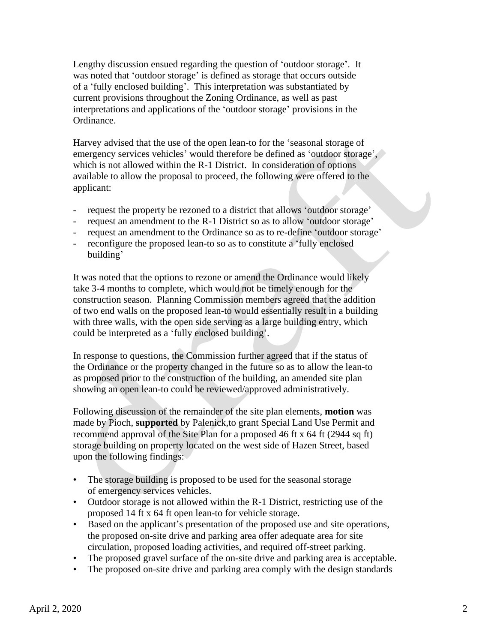Lengthy discussion ensued regarding the question of 'outdoor storage'. It was noted that 'outdoor storage' is defined as storage that occurs outside of a 'fully enclosed building'. This interpretation was substantiated by current provisions throughout the Zoning Ordinance, as well as past interpretations and applications of the 'outdoor storage' provisions in the Ordinance.

 Harvey advised that the use of the open lean-to for the 'seasonal storage of emergency services vehicles' would therefore be defined as 'outdoor storage', which is not allowed within the R-1 District. In consideration of options available to allow the proposal to proceed, the following were offered to the applicant:

- request the property be rezoned to a district that allows 'outdoor storage'
- request an amendment to the R-1 District so as to allow 'outdoor storage'
- request an amendment to the Ordinance so as to re-define 'outdoor storage'
- reconfigure the proposed lean-to so as to constitute a 'fully enclosed building'

 It was noted that the options to rezone or amend the Ordinance would likely take 3-4 months to complete, which would not be timely enough for the construction season. Planning Commission members agreed that the addition of two end walls on the proposed lean-to would essentially result in a building with three walls, with the open side serving as a large building entry, which could be interpreted as a 'fully enclosed building'.

 In response to questions, the Commission further agreed that if the status of the Ordinance or the property changed in the future so as to allow the lean-to as proposed prior to the construction of the building, an amended site plan showing an open lean-to could be reviewed/approved administratively.

 Following discussion of the remainder of the site plan elements, **motion** was made by Pioch, **supported** by Palenick,to grant Special Land Use Permit and recommend approval of the Site Plan for a proposed 46 ft x 64 ft (2944 sq ft) storage building on property located on the west side of Hazen Street, based upon the following findings:

- The storage building is proposed to be used for the seasonal storage of emergency services vehicles.
- Outdoor storage is not allowed within the R-1 District, restricting use of the proposed 14 ft x 64 ft open lean-to for vehicle storage.
- Based on the applicant's presentation of the proposed use and site operations, the proposed on-site drive and parking area offer adequate area for site circulation, proposed loading activities, and required off-street parking.
- The proposed gravel surface of the on-site drive and parking area is acceptable.
- The proposed on-site drive and parking area comply with the design standards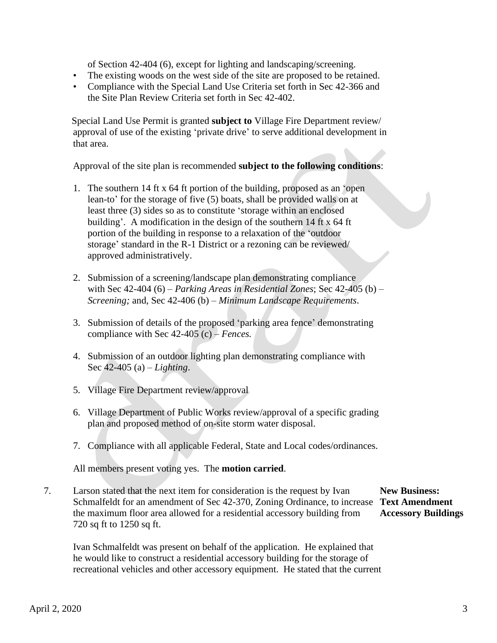of Section 42-404 (6), except for lighting and landscaping/screening.

- The existing woods on the west side of the site are proposed to be retained.
- Compliance with the Special Land Use Criteria set forth in Sec 42-366 and the Site Plan Review Criteria set forth in Sec 42-402.

 Special Land Use Permit is granted **subject to** Village Fire Department review/ approval of use of the existing 'private drive' to serve additional development in that area.

Approval of the site plan is recommended **subject to the following conditions**:

- 1. The southern 14 ft x 64 ft portion of the building, proposed as an 'open lean-to' for the storage of five (5) boats, shall be provided walls on at least three (3) sides so as to constitute 'storage within an enclosed building'. A modification in the design of the southern 14 ft x 64 ft portion of the building in response to a relaxation of the 'outdoor storage' standard in the R-1 District or a rezoning can be reviewed/ approved administratively.
- 2. Submission of a screening/landscape plan demonstrating compliance with Sec 42-404 (6) – *Parking Areas in Residential Zones*; Sec 42-405 (b) – *Screening;* and, Sec 42-406 (b) – *Minimum Landscape Requirements*.
- 3. Submission of details of the proposed 'parking area fence' demonstrating compliance with Sec 42-405 (c) – *Fences.*
- 4. Submission of an outdoor lighting plan demonstrating compliance with Sec 42-405 (a) – *Lighting*.
- 5. Village Fire Department review/approval
- 6. Village Department of Public Works review/approval of a specific grading plan and proposed method of on-site storm water disposal.
- 7. Compliance with all applicable Federal, State and Local codes/ordinances.

All members present voting yes. The **motion carried**.

7. Larson stated that the next item for consideration is the request by Ivan **New Business:** Schmalfeldt for an amendment of Sec 42-370, Zoning Ordinance, to increase **Text Amendment** the maximum floor area allowed for a residential accessory building from **Accessory Buildings** 720 sq ft to 1250 sq ft.

 Ivan Schmalfeldt was present on behalf of the application. He explained that he would like to construct a residential accessory building for the storage of recreational vehicles and other accessory equipment. He stated that the current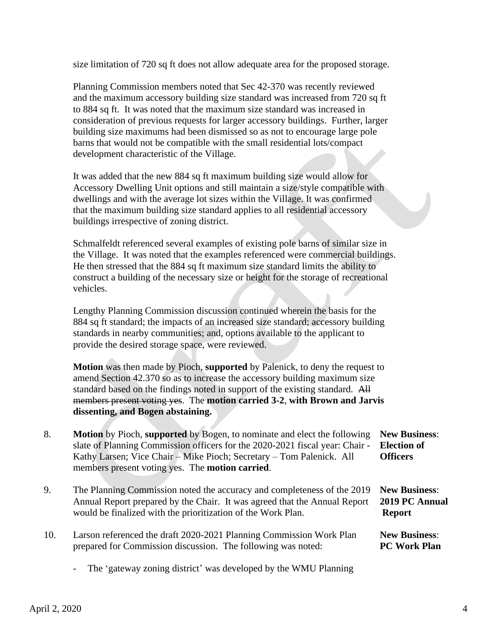size limitation of 720 sq ft does not allow adequate area for the proposed storage.

 Planning Commission members noted that Sec 42-370 was recently reviewed and the maximum accessory building size standard was increased from 720 sq ft to 884 sq ft. It was noted that the maximum size standard was increased in consideration of previous requests for larger accessory buildings. Further, larger building size maximums had been dismissed so as not to encourage large pole barns that would not be compatible with the small residential lots/compact development characteristic of the Village.

 It was added that the new 884 sq ft maximum building size would allow for Accessory Dwelling Unit options and still maintain a size/style compatible with dwellings and with the average lot sizes within the Village. It was confirmed that the maximum building size standard applies to all residential accessory buildings irrespective of zoning district.

 Schmalfeldt referenced several examples of existing pole barns of similar size in the Village. It was noted that the examples referenced were commercial buildings. He then stressed that the 884 sq ft maximum size standard limits the ability to construct a building of the necessary size or height for the storage of recreational vehicles.

 Lengthy Planning Commission discussion continued wherein the basis for the 884 sq ft standard; the impacts of an increased size standard; accessory building standards in nearby communities; and, options available to the applicant to provide the desired storage space, were reviewed.

 **Motion** was then made by Pioch, **supported** by Palenick, to deny the request to amend Section 42.370 so as to increase the accessory building maximum size standard based on the findings noted in support of the existing standard. All members present voting yes. The **motion carried 3-2**, **with Brown and Jarvis dissenting, and Bogen abstaining.**

- 8. **Motion** by Pioch, **supported** by Bogen, to nominate and elect the following **New Business**: slate of Planning Commission officers for the 2020-2021 fiscal year: Chair - **Election of**  Kathy Larsen; Vice Chair – Mike Pioch; Secretary – Tom Palenick. All **Officers** members present voting yes. The **motion carried**.
- 9. The Planning Commission noted the accuracy and completeness of the 2019 **New Business**: Annual Report prepared by the Chair. It was agreed that the Annual Report **2019 PC Annual** would be finalized with the prioritization of the Work Plan. **Report**
- 10. Larson referenced the draft 2020-2021 Planning Commission Work Plan **New Business**: prepared for Commission discussion. The following was noted: **PC Work Plan**
	- The 'gateway zoning district' was developed by the WMU Planning